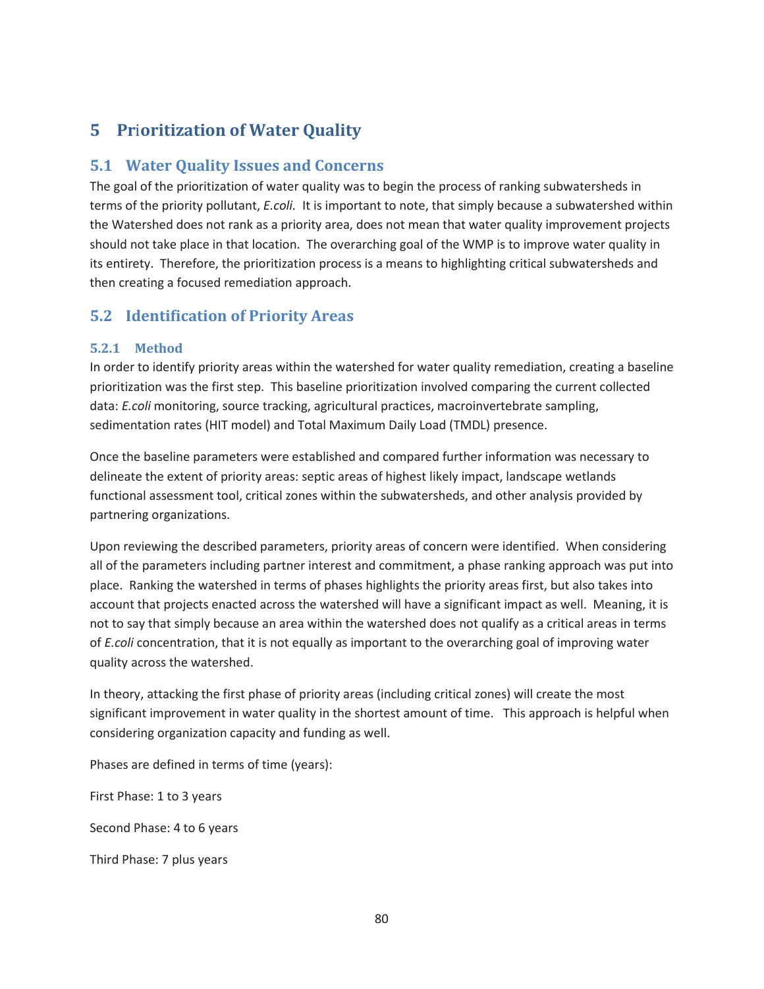# **5 Pr**i**oritization of Water Quality**

## **5.1 Water Quality Issues and Concerns**

The goal of the prioritization of water quality was to begin the process of ranking subwatersheds in terms of the priority pollutant, *E.coli.* It is important to note, that simply because a subwatershed within the Watershed does not rank as a priority area, does not mean that water quality improvement projects should not take place in that location. The overarching goal of the WMP is to improve water quality in its entirety. Therefore, the prioritization process is a means to highlighting critical subwatersheds and then creating a focused remediation approach.

## **5.2 Identification of Priority Areas**

### **5.2.1 Method**

In order to identify priority areas within the watershed for water quality remediation, creating a baseline prioritization was the first step. This baseline prioritization involved comparing the current collected data: *E.coli* monitoring, source tracking, agricultural practices, macroinvertebrate sampling, sedimentation rates (HIT model) and Total Maximum Daily Load (TMDL) presence.

Once the baseline parameters were established and compared further information was necessary to delineate the extent of priority areas: septic areas of highest likely impact, landscape wetlands functional assessment tool, critical zones within the subwatersheds, and other analysis provided by partnering organizations.

Upon reviewing the described parameters, priority areas of concern were identified. When considering all of the parameters including partner interest and commitment, a phase ranking approach was put into place. Ranking the watershed in terms of phases highlights the priority areas first, but also takes into account that projects enacted across the watershed will have a significant impact as well. Meaning, it is not to say that simply because an area within the watershed does not qualify as a critical areas in terms of *E.coli* concentration, that it is not equally as important to the overarching goal of improving water quality across the watershed.

In theory, attacking the first phase of priority areas (including critical zones) will create the most significant improvement in water quality in the shortest amount of time. This approach is helpful when considering organization capacity and funding as well.

Phases are defined in terms of time (years):

First Phase: 1 to 3 years

Second Phase: 4 to 6 years

Third Phase: 7 plus years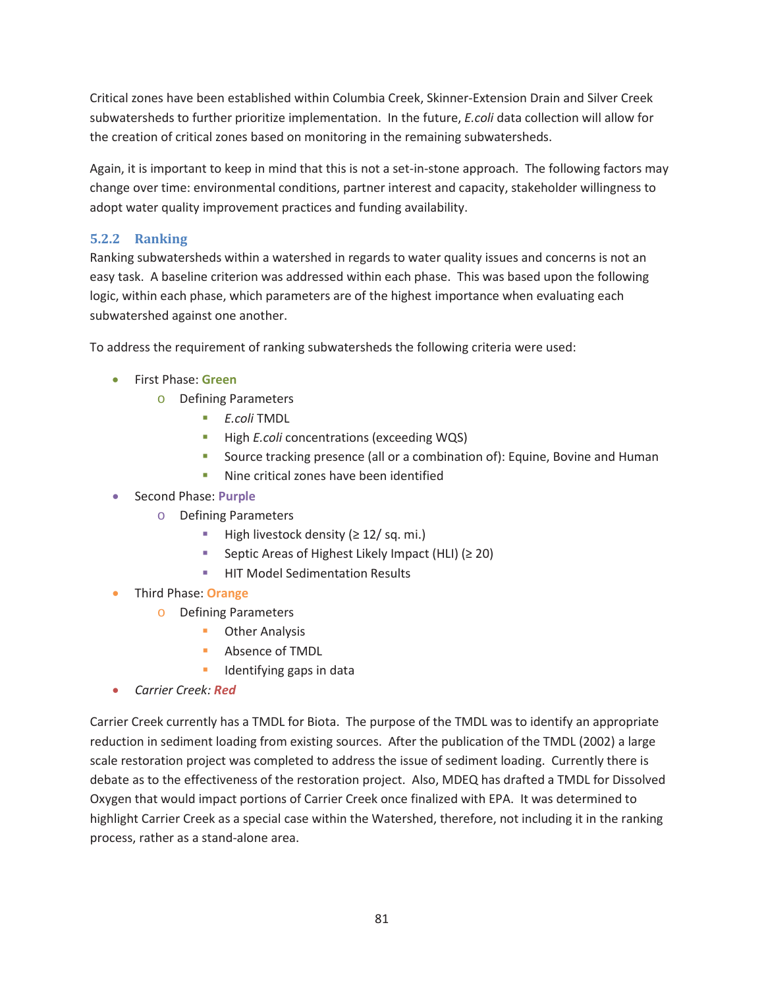Critical zones have been established within Columbia Creek, Skinner-Extension Drain and Silver Creek subwatersheds to further prioritize implementation. In the future, *E.coli* data collection will allow for the creation of critical zones based on monitoring in the remaining subwatersheds.

Again, it is important to keep in mind that this is not a set-in-stone approach. The following factors may change over time: environmental conditions, partner interest and capacity, stakeholder willingness to adopt water quality improvement practices and funding availability.

### **5.2.2 Ranking**

Ranking subwatersheds within a watershed in regards to water quality issues and concerns is not an easy task. A baseline criterion was addressed within each phase. This was based upon the following logic, within each phase, which parameters are of the highest importance when evaluating each subwatershed against one another.

To address the requirement of ranking subwatersheds the following criteria were used:

- x First Phase: **Green** 
	- o Defining Parameters
		- *E.coli* TMDL
		- **High** *E.coli* concentrations (exceeding WQS)
		- Source tracking presence (all or a combination of): Equine, Bovine and Human
		- Nine critical zones have been identified
- x Second Phase: **Purple** 
	- o Defining Parameters
		- High livestock density  $(≥ 12/sq. mi.)$
		- Septic Areas of Highest Likely Impact (HLI)  $(≥ 20)$
		- **HIT Model Sedimentation Results**
- x Third Phase: **Orange** 
	- o Defining Parameters
		- **D** Other Analysis
		- **Absence of TMDL**
		- Identifying gaps in data
- x *Carrier Creek: Red*

Carrier Creek currently has a TMDL for Biota. The purpose of the TMDL was to identify an appropriate reduction in sediment loading from existing sources. After the publication of the TMDL (2002) a large scale restoration project was completed to address the issue of sediment loading. Currently there is debate as to the effectiveness of the restoration project. Also, MDEQ has drafted a TMDL for Dissolved Oxygen that would impact portions of Carrier Creek once finalized with EPA. It was determined to highlight Carrier Creek as a special case within the Watershed, therefore, not including it in the ranking process, rather as a stand-alone area.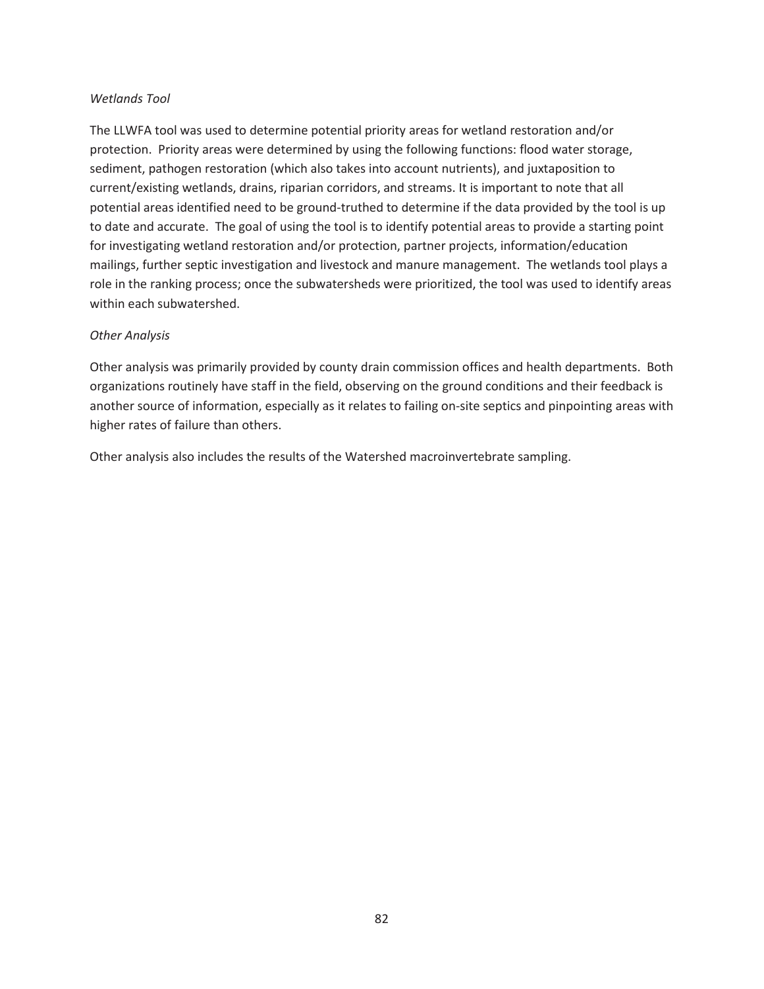#### *Wetlands Tool*

The LLWFA tool was used to determine potential priority areas for wetland restoration and/or protection. Priority areas were determined by using the following functions: flood water storage, sediment, pathogen restoration (which also takes into account nutrients), and juxtaposition to current/existing wetlands, drains, riparian corridors, and streams. It is important to note that all potential areas identified need to be ground-truthed to determine if the data provided by the tool is up to date and accurate. The goal of using the tool is to identify potential areas to provide a starting point for investigating wetland restoration and/or protection, partner projects, information/education mailings, further septic investigation and livestock and manure management. The wetlands tool plays a role in the ranking process; once the subwatersheds were prioritized, the tool was used to identify areas within each subwatershed.

#### *Other Analysis*

Other analysis was primarily provided by county drain commission offices and health departments. Both organizations routinely have staff in the field, observing on the ground conditions and their feedback is another source of information, especially as it relates to failing on-site septics and pinpointing areas with higher rates of failure than others.

Other analysis also includes the results of the Watershed macroinvertebrate sampling.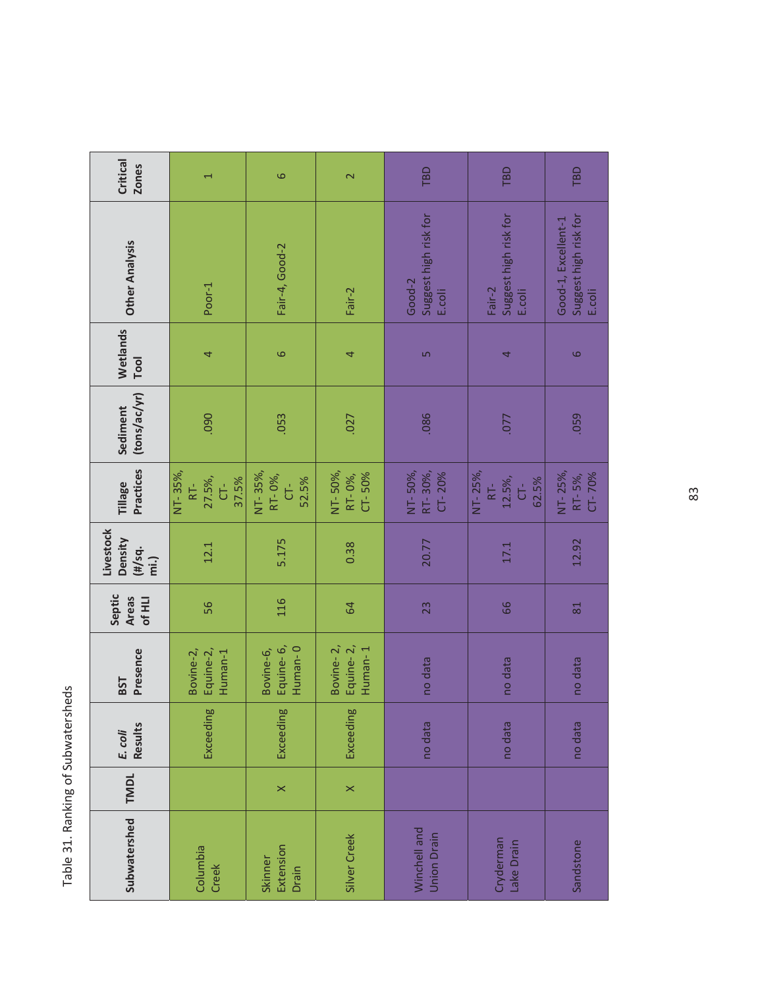| ו-מיראמ<br>ċ<br>í<br>$\frac{1}{\zeta}$<br>ï            |  |
|--------------------------------------------------------|--|
| Ranking<br>١.<br>$\frac{1}{2}$<br>2<br>alar<br>니<br>어드 |  |

| Subwatershed | <b>TMDL</b> | <b>Results</b><br>E. coli | Presence<br><b>BST</b>            | Septic<br><b>Areas</b><br>Of HLI | Livestock<br>Density<br>(H/sq.<br>min | Practices<br>Tillage                     | (tons/ac/yr)<br>Sediment | Wetlands<br><b>Tool</b> | <b>Other Analysis</b>                                  | Critical<br><b>Zones</b> |
|--------------|-------------|---------------------------|-----------------------------------|----------------------------------|---------------------------------------|------------------------------------------|--------------------------|-------------------------|--------------------------------------------------------|--------------------------|
|              |             | Exceeding                 | Equine-2,<br>Bovine-2,<br>Human-1 | 56                               | 12.1                                  | NT-35%,<br>27.5%,<br>37.5%<br>Ś<br>$RT-$ | 090                      | 4                       | Poor-1                                                 | $\overline{\phantom{0}}$ |
|              | $\times$    | Exceeding                 | Equine-6,<br>Human-0<br>Bovine-6, | 116                              | 5.175                                 | NT-35%,<br>RT-0%,<br>52.5%<br>Ġ          | .053                     | $\circ$                 | Fair-4, Good-2                                         | 6                        |
|              | $\times$    | Exceeding                 | Equine-2,<br>Bovine-2,<br>Human-1 | 64                               | 0.38                                  | NT-50%,<br>$CT - 50%$<br>RT-0%,          | .027                     | 4                       | Fair-2                                                 | $\mathbf{\Omega}$        |
|              |             | no data                   | no data                           | 23                               | 20.77                                 | NT-50%,<br>RT-30%,<br>CT-20%             | .086                     | S                       | Suggest high risk for<br>Good-2<br>E.coli              | TBD                      |
|              |             | no data                   | no data                           | 66                               | 17.1                                  | NT-25%,<br>12.5%,<br>62.5%<br>Ś<br>$RT-$ | .077                     | 4                       | Suggest high risk for<br>Fair-2<br>E.coli              | TBD                      |
|              |             | no data                   | no data                           | $\overline{81}$                  | 12.92                                 | NT-25%,<br>$CT - 70%$<br>RT-5%,          | .059                     | 6                       | Suggest high risk for<br>Good-1, Excellent-1<br>E.coli | TBD                      |

83